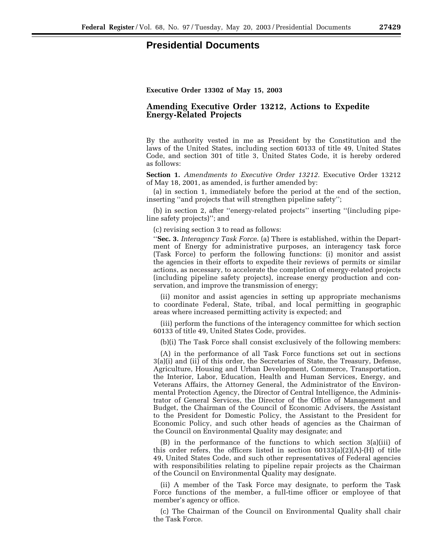## **Presidential Documents**

## **Amending Executive Order 13212, Actions to Expedite Energy-Related Projects**

By the authority vested in me as President by the Constitution and the laws of the United States, including section 60133 of title 49, United States Code, and section 301 of title 3, United States Code, it is hereby ordered as follows:

**Section 1.** *Amendments to Executive Order 13212.* Executive Order 13212 of May 18, 2001, as amended, is further amended by:

(a) in section 1, immediately before the period at the end of the section, inserting ''and projects that will strengthen pipeline safety'';

(b) in section 2, after ''energy-related projects'' inserting ''(including pipeline safety projects)''; and

(c) revising section 3 to read as follows:

''**Sec. 3.** *Interagency Task Force.* (a) There is established, within the Department of Energy for administrative purposes, an interagency task force (Task Force) to perform the following functions: (i) monitor and assist the agencies in their efforts to expedite their reviews of permits or similar actions, as necessary, to accelerate the completion of energy-related projects (including pipeline safety projects), increase energy production and conservation, and improve the transmission of energy;

(ii) monitor and assist agencies in setting up appropriate mechanisms to coordinate Federal, State, tribal, and local permitting in geographic areas where increased permitting activity is expected; and

(iii) perform the functions of the interagency committee for which section 60133 of title 49, United States Code, provides.

(b)(i) The Task Force shall consist exclusively of the following members:

(A) in the performance of all Task Force functions set out in sections 3(a)(i) and (ii) of this order, the Secretaries of State, the Treasury, Defense, Agriculture, Housing and Urban Development, Commerce, Transportation, the Interior, Labor, Education, Health and Human Services, Energy, and Veterans Affairs, the Attorney General, the Administrator of the Environmental Protection Agency, the Director of Central Intelligence, the Administrator of General Services, the Director of the Office of Management and Budget, the Chairman of the Council of Economic Advisers, the Assistant to the President for Domestic Policy, the Assistant to the President for Economic Policy, and such other heads of agencies as the Chairman of the Council on Environmental Quality may designate; and

(B) in the performance of the functions to which section 3(a)(iii) of this order refers, the officers listed in section  $60133(a)(2)(A)$ -(H) of title 49, United States Code, and such other representatives of Federal agencies with responsibilities relating to pipeline repair projects as the Chairman of the Council on Environmental Quality may designate.

(ii) A member of the Task Force may designate, to perform the Task Force functions of the member, a full-time officer or employee of that member's agency or office.

(c) The Chairman of the Council on Environmental Quality shall chair the Task Force.